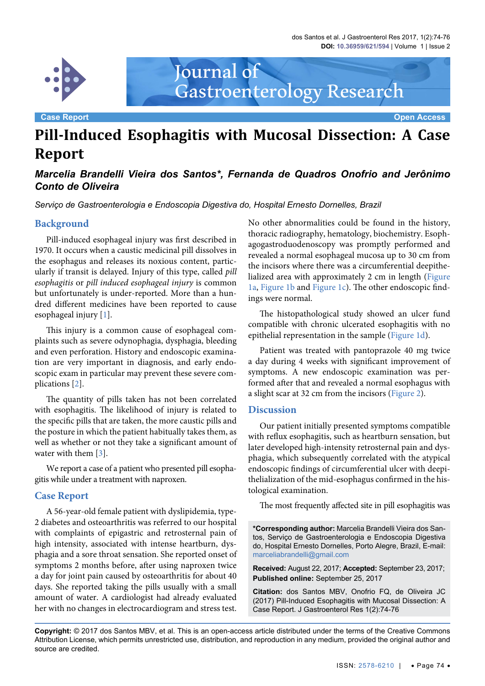dos Santos et al. J Gastroenterol Res 2017, 1(2):74-76 **DOI: 10.36959/621/594** | Volume 1 | Issue 2



Journal of Gastroenterology Research

**Case Report Open Access**

# **Pill-Induced Esophagitis with Mucosal Dissection: A Case Report**

# *Marcelia Brandelli Vieira dos Santos\*, Fernanda de Quadros Onofrio and Jerônimo Conto de Oliveira*

*Serviço de Gastroenterologia e Endoscopia Digestiva do, Hospital Ernesto Dornelles, Brazil*

## **Background**

Pill-induced esophageal injury was first described in 1970. It occurs when a caustic medicinal pill dissolves in the esophagus and releases its noxious content, particularly if transit is delayed. Injury of this type, called *pill esophagitis* or *pill induced esophageal injury* is common but unfortunately is under-reported. More than a hundred different medicines have been reported to cause esophageal injury [\[1\]](#page-2-0).

This injury is a common cause of esophageal complaints such as severe odynophagia, dysphagia, bleeding and even perforation. History and endoscopic examination are very important in diagnosis, and early endoscopic exam in particular may prevent these severe complications [[2](#page-2-1)].

The quantity of pills taken has not been correlated with esophagitis. The likelihood of injury is related to the specific pills that are taken, the more caustic pills and the posture in which the patient habitually takes them, as well as whether or not they take a significant amount of water with them [[3](#page-2-2)].

We report a case of a patient who presented pill esophagitis while under a treatment with naproxen.

### **Case Report**

A 56-year-old female patient with dyslipidemia, type-2 diabetes and osteoarthritis was referred to our hospital with complaints of epigastric and retrosternal pain of high intensity, associated with intense heartburn, dysphagia and a sore throat sensation. She reported onset of symptoms 2 months before, after using naproxen twice a day for joint pain caused by osteoarthritis for about 40 days. She reported taking the pills usually with a small amount of water. A cardiologist had already evaluated her with no changes in electrocardiogram and stress test.

No other abnormalities could be found in the history, thoracic radiography, hematology, biochemistry. Esophagogastroduodenoscopy was promptly performed and revealed a normal esophageal mucosa up to 30 cm from the incisors where there was a circumferential deepithelialized area with approximately 2 cm in length [\(Figure](#page-1-0)  [1a,](#page-1-0) [Figure 1b](#page-1-0) and [Figure 1c\)](#page-1-0). The other endoscopic findings were normal.

The histopathological study showed an ulcer fund compatible with chronic ulcerated esophagitis with no epithelial representation in the sample ([Figure 1d\)](#page-1-1).

Patient was treated with pantoprazole 40 mg twice a day during 4 weeks with significant improvement of symptoms. A new endoscopic examination was performed after that and revealed a normal esophagus with a slight scar at 32 cm from the incisors [\(Figure 2](#page-1-2)).

#### **Discussion**

Our patient initially presented symptoms compatible with reflux esophagitis, such as heartburn sensation, but later developed high-intensity retrosternal pain and dysphagia, which subsequently correlated with the atypical endoscopic findings of circumferential ulcer with deepithelialization of the mid-esophagus confirmed in the histological examination.

The most frequently affected site in pill esophagitis was

**\*Corresponding author:** Marcelia Brandelli Vieira dos Santos, Serviço de Gastroenterologia e Endoscopia Digestiva do, Hospital Ernesto Dornelles, Porto Alegre, Brazil, E-mail: marceliabrandelli@gmail.com

**Received:** August 22, 2017; **Accepted:** September 23, 2017; **Published online:** September 25, 2017

**Citation:** dos Santos MBV, Onofrio FQ, de Oliveira JC (2017) Pill-Induced Esophagitis with Mucosal Dissection: A Case Report. J Gastroenterol Res 1(2):74-76

**Copyright:** © 2017 dos Santos MBV, et al. This is an open-access article distributed under the terms of the Creative Commons Attribution License, which permits unrestricted use, distribution, and reproduction in any medium, provided the original author and source are credited.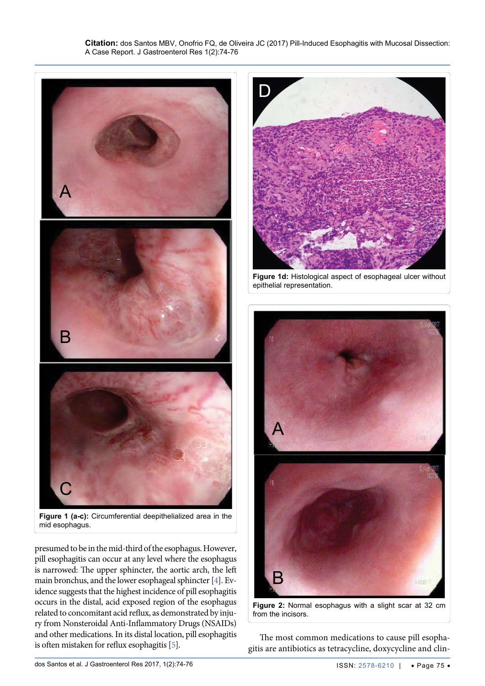**Citation:** dos Santos MBV, Onofrio FQ, de Oliveira JC (2017) Pill-Induced Esophagitis with Mucosal Dissection: A Case Report. J Gastroenterol Res 1(2):74-76

<span id="page-1-2"></span>Ĩ

<span id="page-1-0"></span>

mid esophagus.

presumed to be in the mid-third of the esophagus. However, pill esophagitis can occur at any level where the esophagus is narrowed: The upper sphincter, the aortic arch, the left main bronchus, and the lower esophageal sphincter [[4\]](#page-2-3). Evidence suggests that the highest incidence of pill esophagitis occurs in the distal, acid exposed region of the esophagus related to concomitant acid reflux, as demonstrated by injury from Nonsteroidal Anti-Inflammatory Drugs (NSAIDs) and other medications. In its distal location, pill esophagitis is often mistaken for reflux esophagitis [\[5](#page-2-4)].

<span id="page-1-1"></span>

**Figure 1d:** Histological aspect of esophageal ulcer without epithelial representation.



**Figure 2:** Normal esophagus with a slight scar at 32 cm from the incisors.

The most common medications to cause pill esophagitis are antibiotics as tetracycline, doxycycline and clin-